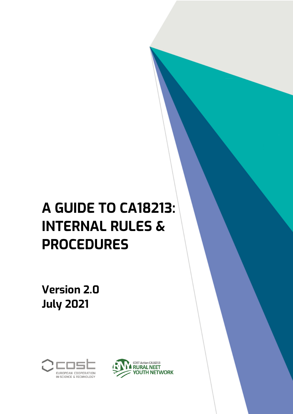**Version 2.0 July 2021**



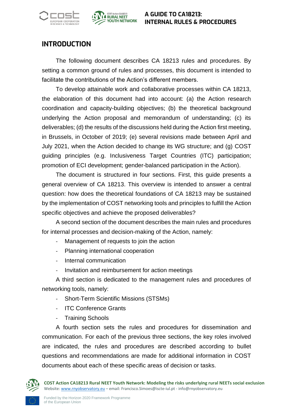



#### **INTRODUCTION**

The following document describes CA 18213 rules and procedures. By setting a common ground of rules and processes, this document is intended to facilitate the contributions of the Action's different members.

To develop attainable work and collaborative processes within CA 18213, the elaboration of this document had into account: (a) the Action research coordination and capacity-building objectives; (b) the theoretical background underlying the Action proposal and memorandum of understanding; (c) its deliverables; (d) the results of the discussions held during the Action first meeting, in Brussels, in October of 2019; (e) several revisions made between April and July 2021, when the Action decided to change its WG structure; and (g) COST guiding principles (e.g. Inclusiveness Target Countries (ITC) participation; promotion of ECI development; gender-balanced participation in the Action).

The document is structured in four sections. First, this guide presents a general overview of CA 18213. This overview is intended to answer a central question: how does the theoretical foundations of CA 18213 may be sustained by the implementation of COST networking tools and principles to fulfill the Action specific objectives and achieve the proposed deliverables?

A second section of the document describes the main rules and procedures for internal processes and decision-making of the Action, namely:

- Management of requests to join the action
- Planning international cooperation
- Internal communication
- Invitation and reimbursement for action meetings

A third section is dedicated to the management rules and procedures of networking tools, namely:

- Short-Term Scientific Missions (STSMs)
- ITC Conference Grants
- Training Schools

A fourth section sets the rules and procedures for dissemination and communication. For each of the previous three sections, the key roles involved are indicated, the rules and procedures are described according to bullet questions and recommendations are made for additional information in COST documents about each of these specific areas of decision or tasks.

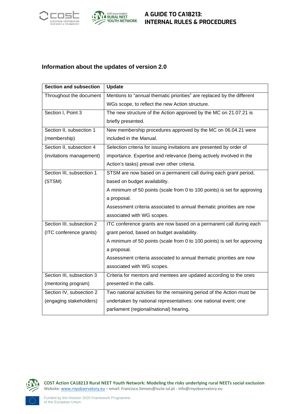



#### **Information about the updates of version 2.0**

| <b>Section and subsection</b> | <b>Update</b>                                                            |  |  |
|-------------------------------|--------------------------------------------------------------------------|--|--|
| Throughout the document       | Mentions to "annual thematic priorities" are replaced by the different   |  |  |
|                               | WGs scope, to reflect the new Action structure.                          |  |  |
| Section I, Point 3            | The new structure of the Action approved by the MC on 21.07.21 is        |  |  |
|                               | briefly presented.                                                       |  |  |
| Section II, subsection 1      | New membership procedures approved by the MC on 06.04.21 were            |  |  |
| (membership)                  | included in the Manual.                                                  |  |  |
| Section II, subsection 4      | Selection criteria for issuing invitations are presented by order of     |  |  |
| (invitations management)      | importance. Expertise and relevance (being actively involved in the      |  |  |
|                               | Action's tasks) prevail over other criteria.                             |  |  |
| Section III, subsection 1     | STSM are now based on a permanent call during each grant period,         |  |  |
| (STSM)                        | based on budget availability.                                            |  |  |
|                               | A minimum of 50 points (scale from 0 to 100 points) is set for approving |  |  |
|                               | a proposal.                                                              |  |  |
|                               | Assessment criteria associated to annual thematic priorities are now     |  |  |
|                               | associated with WG scopes.                                               |  |  |
| Section III, subsection 2     | ITC conference grants are now based on a permanent call during each      |  |  |
| (ITC conference grants)       | grant period, based on budget availability.                              |  |  |
|                               | A minimum of 50 points (scale from 0 to 100 points) is set for approving |  |  |
|                               | a proposal.                                                              |  |  |
|                               | Assessment criteria associated to annual thematic priorities are now     |  |  |
|                               | associated with WG scopes.                                               |  |  |
| Section III, subsection 3     | Criteria for mentors and mentees are updated according to the ones       |  |  |
| (mentoring program)           | presented in the calls.                                                  |  |  |
| Section IV, subsection 2      | Two national activities for the remaining period of the Action must be   |  |  |
| (engaging stakeholders)       | undertaken by national representatives: one national event; one          |  |  |
|                               | parliament (regional/national) hearing.                                  |  |  |

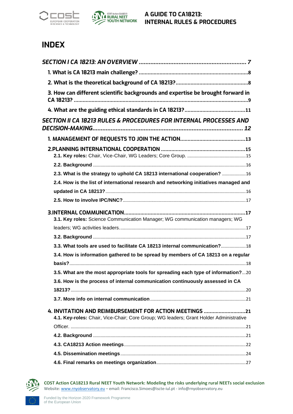



## **INDEX**

| 3. How can different scientific backgrounds and expertise be brought forward in                                                                  |
|--------------------------------------------------------------------------------------------------------------------------------------------------|
|                                                                                                                                                  |
| <b>SECTION II CA 18213 RULES &amp; PROCEDURES FOR INTERNAL PROCESSES AND</b>                                                                     |
|                                                                                                                                                  |
|                                                                                                                                                  |
|                                                                                                                                                  |
| 2.3. What is the strategy to uphold CA 18213 international cooperation? 16                                                                       |
| 2.4. How is the list of international research and networking initiatives managed and                                                            |
|                                                                                                                                                  |
|                                                                                                                                                  |
| 3.1. Key roles: Science Communication Manager; WG communication managers; WG                                                                     |
|                                                                                                                                                  |
| 3.3. What tools are used to facilitate CA 18213 internal communication?18                                                                        |
| 3.4. How is information gathered to be spread by members of CA 18213 on a regular                                                                |
| 3.5. What are the most appropriate tools for spreading each type of information?20                                                               |
| 3.6. How is the process of internal communication continuously assessed in CA                                                                    |
|                                                                                                                                                  |
| 4. INVITATION AND REIMBURSEMENT FOR ACTION MEETINGS 21<br>4.1. Key-roles: Chair, Vice-Chair; Core Group; WG leaders; Grant Holder Administrative |
|                                                                                                                                                  |
|                                                                                                                                                  |
|                                                                                                                                                  |
|                                                                                                                                                  |
|                                                                                                                                                  |

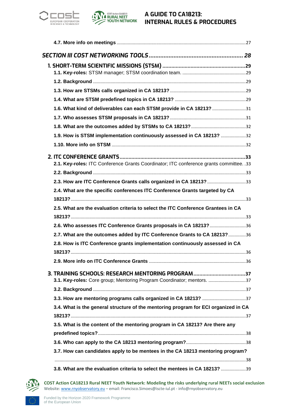



| 1.6. What kind of deliverables can each STSM provide in CA 18213? 31                                                                                                                                                                               |  |
|----------------------------------------------------------------------------------------------------------------------------------------------------------------------------------------------------------------------------------------------------|--|
|                                                                                                                                                                                                                                                    |  |
|                                                                                                                                                                                                                                                    |  |
| 1.9. How is STSM implementation continuously assessed in CA 18213? 32                                                                                                                                                                              |  |
|                                                                                                                                                                                                                                                    |  |
|                                                                                                                                                                                                                                                    |  |
| 2.1. Key-roles: ITC Conference Grants Coordinator; ITC conference grants committee. .33                                                                                                                                                            |  |
|                                                                                                                                                                                                                                                    |  |
| 2.3. How are ITC Conference Grants calls organized in CA 18213? 33                                                                                                                                                                                 |  |
| 2.4. What are the specific conferences ITC Conference Grants targeted by CA                                                                                                                                                                        |  |
|                                                                                                                                                                                                                                                    |  |
| 2.5. What are the evaluation criteria to select the ITC Conference Grantees in CA                                                                                                                                                                  |  |
|                                                                                                                                                                                                                                                    |  |
| 2.6. Who assesses ITC Conference Grants proposals in CA 18213? 36                                                                                                                                                                                  |  |
| 2.7. What are the outcomes added by ITC Conference Grants to CA 18213?36                                                                                                                                                                           |  |
| 2.8. How is ITC Conference grants implementation continuously assessed in CA                                                                                                                                                                       |  |
|                                                                                                                                                                                                                                                    |  |
|                                                                                                                                                                                                                                                    |  |
| 3. TRAINING SCHOOLS: RESEARCH MENTORING PROGRAM37                                                                                                                                                                                                  |  |
| 3.1. Key-roles: Core group; Mentoring Program Coordinator; mentors. 37                                                                                                                                                                             |  |
|                                                                                                                                                                                                                                                    |  |
|                                                                                                                                                                                                                                                    |  |
|                                                                                                                                                                                                                                                    |  |
|                                                                                                                                                                                                                                                    |  |
|                                                                                                                                                                                                                                                    |  |
|                                                                                                                                                                                                                                                    |  |
|                                                                                                                                                                                                                                                    |  |
| 3.7. How can candidates apply to be mentees in the CA 18213 mentoring program?                                                                                                                                                                     |  |
| 3.4. What is the general structure of the mentoring program for ECI organized in CA<br>3.5. What is the content of the mentoring program in CA 18213? Are there any<br>3.8. What are the evaluation criteria to select the mentees in CA 18213? 39 |  |

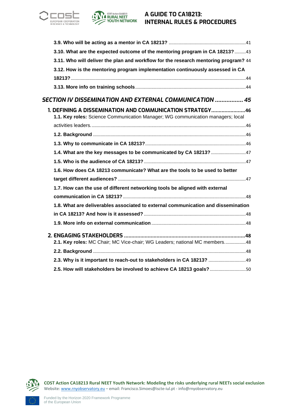



| 3.10. What are the expected outcome of the mentoring program in CA 18213? 43          |
|---------------------------------------------------------------------------------------|
| 3.11. Who will deliver the plan and workflow for the research mentoring program? 44   |
| 3.12. How is the mentoring program implementation continuously assessed in CA         |
|                                                                                       |
|                                                                                       |
| SECTION IV        DISSEMINATION AND EXTERNAL COMMUNICATION                  ……………… 45 |
| 1. DEFINING A DISSEMINATION AND COMMUNICATION STRATEGY46                              |
| 1.1. Key roles: Science Communication Manager; WG communication managers; local       |
|                                                                                       |
|                                                                                       |
|                                                                                       |
|                                                                                       |
|                                                                                       |
| 1.6. How does CA 18213 communicate? What are the tools to be used to better           |
|                                                                                       |
| 1.7. How can the use of different networking tools be aligned with external           |
|                                                                                       |
| 1.8. What are deliverables associated to external communication and dissemination     |
|                                                                                       |
|                                                                                       |
|                                                                                       |
| 2.1. Key roles: MC Chair; MC Vice-chair; WG Leaders; national MC members48            |
|                                                                                       |
| 2.3. Why is it important to reach-out to stakeholders in CA 18213?  49                |
| 2.5. How will stakeholders be involved to achieve CA 18213 goals?50                   |

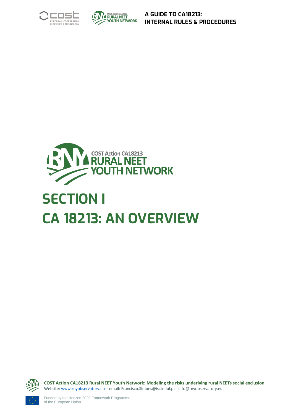





# <span id="page-6-0"></span>**SECTION I CA 18213: AN OVERVIEW**

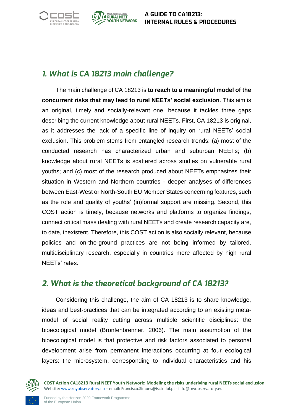



## <span id="page-7-0"></span>*1. What is CA 18213 main challenge?*

The main challenge of CA 18213 is **to reach to a meaningful model of the concurrent risks that may lead to rural NEETs' social exclusion**. This aim is an original, timely and socially-relevant one, because it tackles three gaps describing the current knowledge about rural NEETs. First, CA 18213 is original, as it addresses the lack of a specific line of inquiry on rural NEETs' social exclusion. This problem stems from entangled research trends: (a) most of the conducted research has characterized urban and suburban NEETs; (b) knowledge about rural NEETs is scattered across studies on vulnerable rural youths; and (c) most of the research produced about NEETs emphasizes their situation in Western and Northern countries - deeper analyses of differences between East-West or North-South EU Member States concerning features, such as the role and quality of youths' (in)formal support are missing. Second, this COST action is timely, because networks and platforms to organize findings, connect critical mass dealing with rural NEETs and create research capacity are, to date, inexistent. Therefore, this COST action is also socially relevant, because policies and on-the-ground practices are not being informed by tailored, multidisciplinary research, especially in countries more affected by high rural NEETs' rates.

## <span id="page-7-1"></span>*2. What is the theoretical background of CA 18213?*

Considering this challenge, the aim of CA 18213 is to share knowledge, ideas and best-practices that can be integrated according to an existing metamodel of social reality cutting across multiple scientific disciplines: the bioecological model (Bronfenbrenner, 2006). The main assumption of the bioecological model is that protective and risk factors associated to personal development arise from permanent interactions occurring at four ecological layers: the microsystem, corresponding to individual characteristics and his

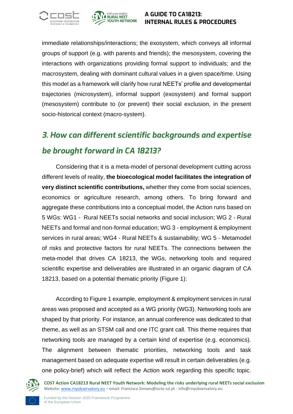



immediate relationships/interactions; the exosystem, which conveys all informal groups of support (e.g. with parents and friends); the mesosystem, covering the interactions with organizations providing formal support to individuals; and the macrosystem, dealing with dominant cultural values in a given space/time. Using this model as a framework will clarify how rural NEETs' profile and developmental trajectories (microsystem), informal support (exosystem) and formal support (mesosystem) contribute to (or prevent) their social exclusion, in the present socio-historical context (macro-system).

## <span id="page-8-0"></span>*3. How can different scientific backgrounds and expertise be brought forward in CA 18213?*

Considering that it is a meta-model of personal development cutting across different levels of reality, **the bioecological model facilitates the integration of very distinct scientific contributions,** whether they come from social sciences, economics or agriculture research, among others. To bring forward and aggregate these contributions into a conceptual model, the Action runs based on 5 WGs: WG1 - Rural NEETs social networks and social inclusion; WG 2 - Rural NEETs and formal and non-formal education; WG 3 - employment & employment services in rural areas; WG4 - Rural NEETs & sustainability; WG 5 - Metamodel of risks and protective factors for rural NEETs. The connections between the meta-model that drives CA 18213, the WGs, networking tools and required scientific expertise and deliverables are illustrated in an organic diagram of CA 18213, based on a potential thematic priority (Figure 1):

According to Figure 1 example, employment & employment services in rural areas was proposed and accepted as a WG priority (WG3). Networking tools are shaped by that priority. For instance, an annual conference was dedicated to that theme, as well as an STSM call and one ITC grant call. This theme requires that networking tools are managed by a certain kind of expertise (e.g. economics). The alignment between thematic priorities, networking tools and task management based on adequate expertise will result in certain deliverables (e.g. one policy-brief) which will reflect the Action work regarding this specific topic.

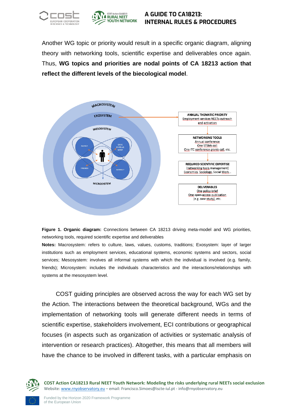



Another WG topic or priority would result in a specific organic diagram, aligning theory with networking tools, scientific expertise and deliverables once again. Thus, **WG topics and priorities are nodal points of CA 18213 action that reflect the different levels of the biecological model**.



**Figure 1. Organic diagram:** Connections between CA 18213 driving meta-model and WG priorities, networking tools, required scientific expertise and deliverables

**Notes:** Macrosystem: refers to culture, laws, values, customs, traditions; Exosystem: layer of larger institutions such as employment services, educational systems, economic systems and sectors, social services; Mesosystem: involves all informal systems with which the individual is involved (e.g. family, friends); Microsystem: includes the individuals characteristics and the interactions/relationships with systems at the mesosystem level.

COST guiding principles are observed across the way for each WG set by the Action. The interactions between the theoretical background, WGs and the implementation of networking tools will generate different needs in terms of scientific expertise, stakeholders involvement, ECI contributions or geographical focuses (in aspects such as organization of activities or systematic analysis of intervention or research practices). Altogether, this means that all members will have the chance to be involved in different tasks, with a particular emphasis on

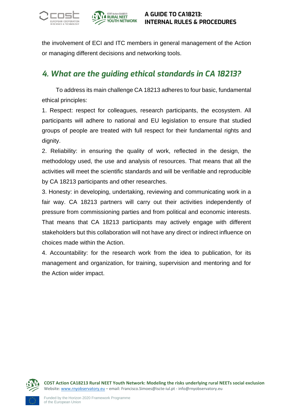



the involvement of ECI and ITC members in general management of the Action or managing different decisions and networking tools.

## <span id="page-10-0"></span>*4. What are the guiding ethical standards in CA 18213?*

To address its main challenge CA 18213 adheres to four basic, fundamental ethical principles:

1. Respect: respect for colleagues, research participants, the ecosystem. All participants will adhere to national and EU legislation to ensure that studied groups of people are treated with full respect for their fundamental rights and dignity.

2. Reliability: in ensuring the quality of work, reflected in the design, the methodology used, the use and analysis of resources. That means that all the activities will meet the scientific standards and will be verifiable and reproducible by CA 18213 participants and other researches.

3. Honesty: in developing, undertaking, reviewing and communicating work in a fair way. CA 18213 partners will carry out their activities independently of pressure from commissioning parties and from political and economic interests. That means that CA 18213 participants may actively engage with different stakeholders but this collaboration will not have any direct or indirect influence on choices made within the Action.

4. Accountability: for the research work from the idea to publication, for its management and organization, for training, supervision and mentoring and for the Action wider impact.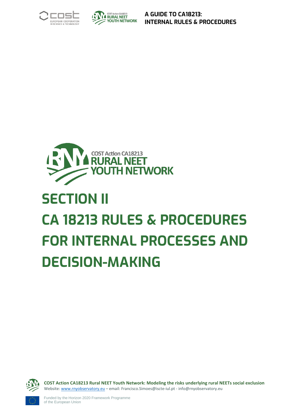





# <span id="page-11-0"></span>**SECTION II CA 18213 RULES & PROCEDURES FOR INTERNAL PROCESSES AND DECISION-MAKING**

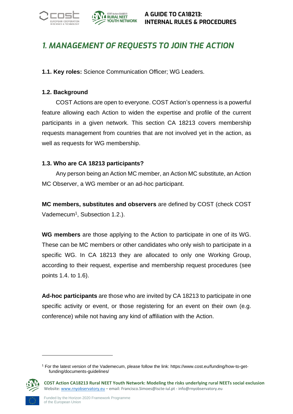

## <span id="page-12-0"></span>*1. MANAGEMENT OF REQUESTS TO JOIN THE ACTION*

**1.1. Key roles:** Science Communication Officer; WG Leaders.

#### **1.2. Background**

COST Actions are open to everyone. COST Action's openness is a powerful feature allowing each Action to widen the expertise and profile of the current participants in a given network. This section CA 18213 covers membership requests management from countries that are not involved yet in the action, as well as requests for WG membership.

#### **1.3. Who are CA 18213 participants?**

Any person being an Action MC member, an Action MC substitute, an Action MC Observer, a WG member or an ad-hoc participant.

**MC members, substitutes and observers** are defined by COST (check COST Vademecum<sup>1</sup>, Subsection 1.2.).

**WG members** are those applying to the Action to participate in one of its WG. These can be MC members or other candidates who only wish to participate in a specific WG. In CA 18213 they are allocated to only one Working Group, according to their request, expertise and membership request procedures (see points 1.4. to 1.6).

**Ad-hoc participants** are those who are invited by CA 18213 to participate in one specific activity or event, or those registering for an event on their own (e.g. conference) while not having any kind of affiliation with the Action.

<sup>1</sup> For the latest version of the Vademecum, please follow the link: https://www.cost.eu/funding/how-to-getfunding/documents-guidelines/

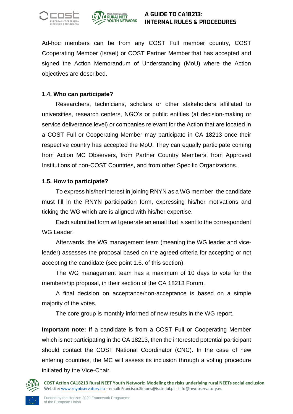



Ad-hoc members can be from any COST Full member country, COST Cooperating Member (Israel) or COST Partner Member that has accepted and signed the Action Memorandum of Understanding (MoU) where the Action objectives are described.

#### **1.4. Who can participate?**

Researchers, technicians, scholars or other stakeholders affiliated to universities, research centers, NGO's or public entities (at decision-making or service deliverance level) or companies relevant for the Action that are located in a COST Full or Cooperating Member may participate in CA 18213 once their respective country has accepted the MoU. They can equally participate coming from Action MC Observers, from Partner Country Members, from Approved Institutions of non-COST Countries, and from other Specific Organizations.

#### **1.5. How to participate?**

To express his/her interest in joining RNYN as a WG member, the candidate must fill in the RNYN participation form, expressing his/her motivations and ticking the WG which are is aligned with his/her expertise.

Each submitted form will generate an email that is sent to the correspondent WG Leader.

Afterwards, the WG management team (meaning the WG leader and viceleader) assesses the proposal based on the agreed criteria for accepting or not accepting the candidate (see point 1.6. of this section).

The WG management team has a maximum of 10 days to vote for the membership proposal, in their section of the CA 18213 Forum.

A final decision on acceptance/non-acceptance is based on a simple majority of the votes.

The core group is monthly informed of new results in the WG report.

**Important note:** If a candidate is from a COST Full or Cooperating Member which is not participating in the CA 18213, then the interested potential participant should contact the COST National Coordinator (CNC). In the case of new entering countries, the MC will assess its inclusion through a voting procedure initiated by the Vice-Chair.

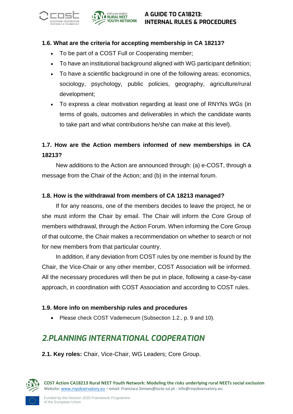



#### **1.6. What are the criteria for accepting membership in CA 18213?**

- To be part of a COST Full or Cooperating member;
- To have an institutional background aligned with WG participant definition;
- To have a scientific background in one of the following areas: economics, sociology, psychology, public policies, geography, agriculture/rural development;
- To express a clear motivation regarding at least one of RNYNs WGs (in terms of goals, outcomes and deliverables in which the candidate wants to take part and what contributions he/she can make at this level).

## **1.7. How are the Action members informed of new memberships in CA 18213?**

New additions to the Action are announced through: (a) e-COST, through a message from the Chair of the Action; and (b) in the internal forum.

#### **1.8. How is the withdrawal from members of CA 18213 managed?**

If for any reasons, one of the members decides to leave the project, he or she must inform the Chair by email. The Chair will inform the Core Group of members withdrawal, through the Action Forum. When informing the Core Group of that outcome, the Chair makes a recommendation on whether to search or not for new members from that particular country.

In addition, if any deviation from COST rules by one member is found by the Chair, the Vice-Chair or any other member, COST Association will be informed. All the necessary procedures will then be put in place, following a case-by-case approach, in coordination with COST Association and according to COST rules.

#### **1.9. More info on membership rules and procedures**

• Please check COST Vademecum (Subsection 1.2., p. 9 and 10).

## <span id="page-14-0"></span>*2.PLANNING INTERNATIONAL COOPERATION*

<span id="page-14-1"></span>**2.1. Key roles:** Chair, Vice-Chair, WG Leaders; Core Group.

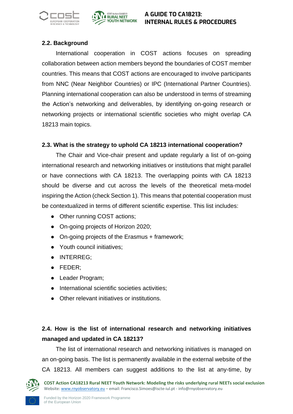



#### <span id="page-15-0"></span>**2.2. Background**

International cooperation in COST actions focuses on spreading collaboration between action members beyond the boundaries of COST member countries. This means that COST actions are encouraged to involve participants from NNC (Near Neighbor Countries) or IPC (International Partner Countries). Planning international cooperation can also be understood in terms of streaming the Action's networking and deliverables, by identifying on-going research or networking projects or international scientific societies who might overlap CA 18213 main topics.

#### <span id="page-15-1"></span>**2.3. What is the strategy to uphold CA 18213 international cooperation?**

The Chair and Vice-chair present and update regularly a list of on-going international research and networking initiatives or institutions that might parallel or have connections with CA 18213. The overlapping points with CA 18213 should be diverse and cut across the levels of the theoretical meta-model inspiring the Action (check Section 1). This means that potential cooperation must be contextualized in terms of different scientific expertise. This list includes:

- Other running COST actions;
- On-going projects of Horizon 2020;
- On-going projects of the Erasmus + framework;
- Youth council initiatives;
- INTERREG;
- FEDER;
- Leader Program;
- International scientific societies activities;
- Other relevant initiatives or institutions.

## <span id="page-15-2"></span>**2.4. How is the list of international research and networking initiatives managed and updated in CA 18213?**

The list of international research and networking initiatives is managed on an on-going basis. The list is permanently available in the external website of the CA 18213. All members can suggest additions to the list at any-time, by

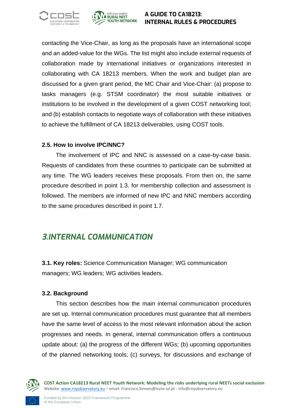



contacting the Vice-Chair, as long as the proposals have an international scope and an added-value for the WGs. The list might also include external requests of collaboration made by international initiatives or organizations interested in collaborating with CA 18213 members. When the work and budget plan are discussed for a given grant period, the MC Chair and Vice-Chair: (a) propose to tasks managers (e.g. STSM coordinator) the most suitable initiatives or institutions to be involved in the development of a given COST networking tool; and (b) establish contacts to negotiate ways of collaboration with these initiatives to achieve the fulfillment of CA 18213 deliverables, using COST tools.

#### <span id="page-16-0"></span>**2.5. How to involve IPC/NNC?**

The involvement of IPC and NNC is assessed on a case-by-case basis. Requests of candidates from these countries to participate can be submitted at any time. The WG leaders receives these proposals. From then on, the same procedure described in point 1.3. for membership collection and assessment is followed. The members are informed of new IPC and NNC members according to the same procedures described in point 1.7.

## <span id="page-16-1"></span>*3.INTERNAL COMMUNICATION*

<span id="page-16-2"></span>**3.1. Key roles:** Science Communication Manager; WG communication managers; WG leaders; WG activities leaders.

#### <span id="page-16-3"></span>**3.2. Background**

This section describes how the main internal communication procedures are set up. Internal communication procedures must guarantee that all members have the same level of access to the most relevant information about the action progresses and needs. In general, internal communication offers a continuous update about: (a) the progress of the different WGs; (b) upcoming opportunities of the planned networking tools; (c) surveys, for discussions and exchange of

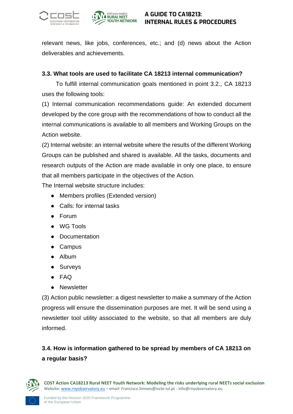



relevant news, like jobs, conferences, etc.; and (d) news about the Action deliverables and achievements.

#### <span id="page-17-0"></span>**3.3. What tools are used to facilitate CA 18213 internal communication?**

To fulfill internal communication goals mentioned in point 3.2., CA 18213 uses the following tools:

(1) Internal communication recommendations guide: An extended document developed by the core group with the recommendations of how to conduct all the internal communications is available to all members and Working Groups on the Action website.

(2) Internal website: an internal website where the results of the different Working Groups can be published and shared is available. All the tasks, documents and research outputs of the Action are made available in only one place, to ensure that all members participate in the objectives of the Action.

The Internal website structure includes:

- Members profiles (Extended version)
- Calls: for internal tasks
- Forum
- WG Tools
- Documentation
- Campus
- Album
- Surveys
- FAQ
- Newsletter

(3) Action public newsletter: a digest newsletter to make a summary of the Action progress will ensure the dissemination purposes are met. It will be send using a newsletter tool utility associated to the website, so that all members are duly informed.

## <span id="page-17-1"></span>**3.4. How is information gathered to be spread by members of CA 18213 on a regular basis?**

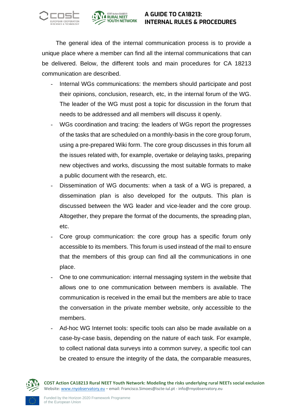



The general idea of the internal communication process is to provide a unique place where a member can find all the internal communications that can be delivered. Below, the different tools and main procedures for CA 18213 communication are described.

- Internal WGs communications: the members should participate and post their opinions, conclusion, research, etc, in the internal forum of the WG. The leader of the WG must post a topic for discussion in the forum that needs to be addressed and all members will discuss it openly.
- WGs coordination and tracing: the leaders of WGs report the progresses of the tasks that are scheduled on a monthly-basis in the core group forum, using a pre-prepared Wiki form. The core group discusses in this forum all the issues related with, for example, overtake or delaying tasks, preparing new objectives and works, discussing the most suitable formats to make a public document with the research, etc.
- Dissemination of WG documents: when a task of a WG is prepared, a dissemination plan is also developed for the outputs. This plan is discussed between the WG leader and vice-leader and the core group. Altogether, they prepare the format of the documents, the spreading plan, etc.
- Core group communication: the core group has a specific forum only accessible to its members. This forum is used instead of the mail to ensure that the members of this group can find all the communications in one place.
- One to one communication: internal messaging system in the website that allows one to one communication between members is available. The communication is received in the email but the members are able to trace the conversation in the private member website, only accessible to the members.
- Ad-hoc WG Internet tools: specific tools can also be made available on a case-by-case basis, depending on the nature of each task. For example, to collect national data surveys into a common survey, a specific tool can be created to ensure the integrity of the data, the comparable measures,

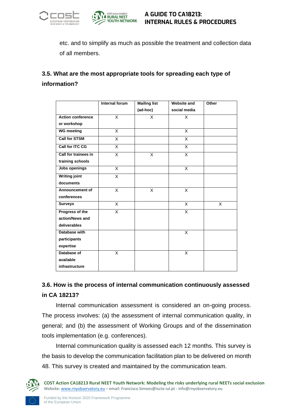



etc. and to simplify as much as possible the treatment and collection data of all members.

## <span id="page-19-0"></span>**3.5. What are the most appropriate tools for spreading each type of information?**

|                          | Internal forum          | <b>Mailing list</b> | <b>Website and</b>      | Other |
|--------------------------|-------------------------|---------------------|-------------------------|-------|
|                          |                         | (ad-hoc)            | social media            |       |
| <b>Action conference</b> | X                       | X                   | X                       |       |
| or workshop              |                         |                     |                         |       |
| <b>WG meeting</b>        | X                       |                     | X                       |       |
| <b>Call for STSM</b>     | X                       |                     | X                       |       |
| <b>Call for ITC CG</b>   | $\overline{\mathsf{x}}$ |                     | $\overline{\mathsf{x}}$ |       |
| Call for trainees in     | X                       | X                   | X                       |       |
| training schools         |                         |                     |                         |       |
| Jobs openings            | X                       |                     | X                       |       |
| <b>Writing joint</b>     | X                       |                     |                         |       |
| documents                |                         |                     |                         |       |
| Announcement of          | X                       | X                   | X                       |       |
| conferences              |                         |                     |                         |       |
| <b>Surveys</b>           | X                       |                     | X                       | X     |
| Progress of the          | X                       |                     | X                       |       |
| action/News and          |                         |                     |                         |       |
| deliverables             |                         |                     |                         |       |
| Database with            |                         |                     | X                       |       |
| participants             |                         |                     |                         |       |
| expertise                |                         |                     |                         |       |
| Database of              | X                       |                     | X                       |       |
| available                |                         |                     |                         |       |
| infrastructure           |                         |                     |                         |       |

## <span id="page-19-1"></span>**3.6. How is the process of internal communication continuously assessed in CA 18213?**

Internal communication assessment is considered an on-going process. The process involves: (a) the assessment of internal communication quality, in general; and (b) the assessment of Working Groups and of the dissemination tools implementation (e.g. conferences).

Internal communication quality is assessed each 12 months. This survey is the basis to develop the communication facilitation plan to be delivered on month 48. This survey is created and maintained by the communication team.

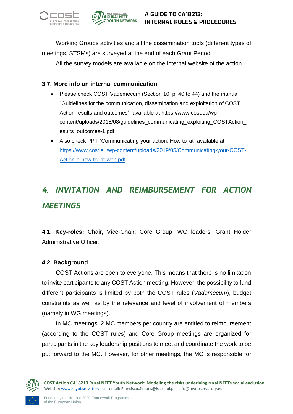



Working Groups activities and all the dissemination tools (different types of meetings, STSMs) are surveyed at the end of each Grant Period.

All the survey models are available on the internal website of the action.

#### <span id="page-20-0"></span>**3.7. More info on internal communication**

- Please check COST Vademecum (Section 10, p. 40 to 44) and the manual "Guidelines for the communication, dissemination and exploitation of COST Action results and outcomes", available at [https://www.cost.eu/wp](https://www.cost.eu/wp-content/uploads/2018/08/guidelines_communicating_exploiting_COSTAction_results_outcomes-1.pdf)[content/uploads/2018/08/guidelines\\_communicating\\_exploiting\\_COSTAction\\_r](https://www.cost.eu/wp-content/uploads/2018/08/guidelines_communicating_exploiting_COSTAction_results_outcomes-1.pdf) [esults\\_outcomes-1.pdf](https://www.cost.eu/wp-content/uploads/2018/08/guidelines_communicating_exploiting_COSTAction_results_outcomes-1.pdf)
- Also check PPT "Communicating your action: How to kit" available at [https://www.cost.eu/wp-content/uploads/2019/05/Communicating-your-COST-](https://www.cost.eu/wp-content/uploads/2019/05/Communicating-your-COST-Action-a-how-to-kit-web.pdf)[Action-a-how-to-kit-web.pdf](https://www.cost.eu/wp-content/uploads/2019/05/Communicating-your-COST-Action-a-how-to-kit-web.pdf)

## <span id="page-20-1"></span>*4. INVITATION AND REIMBURSEMENT FOR ACTION MEETINGS*

<span id="page-20-2"></span>**4.1. Key-roles:** Chair, Vice-Chair; Core Group; WG leaders; Grant Holder Administrative Officer.

#### <span id="page-20-3"></span>**4.2. Background**

COST Actions are open to everyone. This means that there is no limitation to invite participants to any COST Action meeting. However, the possibility to fund different participants is limited by both the COST rules (*Vademecum*), budget constraints as well as by the relevance and level of involvement of members (namely in WG meetings).

In MC meetings, 2 MC members per country are entitled to reimbursement (according to the COST rules) and Core Group meetings are organized for participants in the key leadership positions to meet and coordinate the work to be put forward to the MC. However, for other meetings, the MC is responsible for

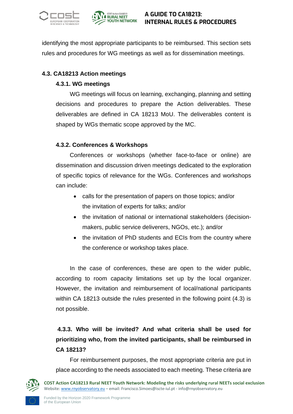



identifying the most appropriate participants to be reimbursed. This section sets rules and procedures for WG meetings as well as for dissemination meetings.

#### <span id="page-21-0"></span>**4.3. CA18213 Action meetings**

#### **4.3.1. WG meetings**

WG meetings will focus on learning, exchanging, planning and setting decisions and procedures to prepare the Action deliverables. These deliverables are defined in CA 18213 MoU. The deliverables content is shaped by WGs thematic scope approved by the MC.

#### **4.3.2. Conferences & Workshops**

Conferences or workshops (whether face-to-face or online) are dissemination and discussion driven meetings dedicated to the exploration of specific topics of relevance for the WGs. Conferences and workshops can include:

- calls for the presentation of papers on those topics; and/or the invitation of experts for talks; and/or
- the invitation of national or international stakeholders (decisionmakers, public service deliverers, NGOs, etc.); and/or
- the invitation of PhD students and ECIs from the country where the conference or workshop takes place.

In the case of conferences, these are open to the wider public, according to room capacity limitations set up by the local organizer. However, the invitation and reimbursement of local/national participants within CA 18213 outside the rules presented in the following point (4.3) is not possible.

## **4.3.3. Who will be invited? And what criteria shall be used for prioritizing who, from the invited participants, shall be reimbursed in CA 18213?**

For reimbursement purposes, the most appropriate criteria are put in place according to the needs associated to each meeting. These criteria are

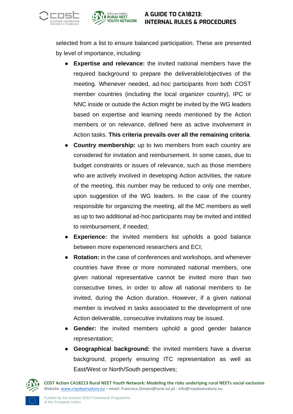



selected from a list to ensure balanced participation. These are presented by level of importance, including:

- **Expertise and relevance:** the invited national members have the required background to prepare the deliverable/objectives of the meeting. Whenever needed, ad-hoc participants from both COST member countries (including the local organizer country), IPC or NNC inside or outside the Action might be invited by the WG leaders based on expertise and learning needs mentioned by the Action members or on relevance, defined here as active involvement in Action tasks. **This criteria prevails over all the remaining criteria**.
- **Country membership:** up to two members from each country are considered for invitation and reimbursement. In some cases, due to budget constraints or issues of relevance, such as those members who are actively involved in developing Action activities, the nature of the meeting, this number may be reduced to only one member, upon suggestion of the WG leaders. In the case of the country responsible for organizing the meeting, all the MC members as well as up to two additional ad-hoc participants may be invited and intitled to reimbursement, if needed;
- **Experience:** the invited members list upholds a good balance between more experienced researchers and ECI;
- **Rotation:** in the case of conferences and workshops, and whenever countries have three or more nominated national members, one given national representative cannot be invited more than two consecutive times, in order to allow all national members to be invited, during the Action duration. However, if a given national member is involved in tasks associated to the development of one Action deliverable, consecutive invitations may be issued.
- **Gender:** the invited members uphold a good gender balance representation;
- **Geographical background:** the invited members have a diverse background, properly ensuring ITC representation as well as East/West or North/South perspectives;

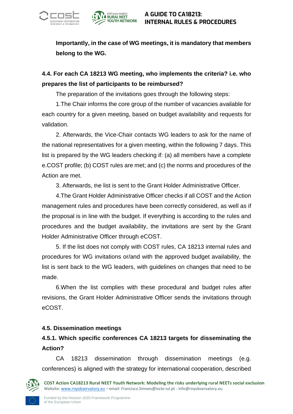



**Importantly, in the case of WG meetings, it is mandatory that members belong to the WG.** 

## **4.4. For each CA 18213 WG meeting, who implements the criteria? i.e. who prepares the list of participants to be reimbursed?**

The preparation of the invitations goes through the following steps:

1.The Chair informs the core group of the number of vacancies available for each country for a given meeting, based on budget availability and requests for validation.

2. Afterwards, the Vice-Chair contacts WG leaders to ask for the name of the national representatives for a given meeting, within the following 7 days. This list is prepared by the WG leaders checking if: (a) all members have a complete e.COST profile; (b) COST rules are met; and (c) the norms and procedures of the Action are met.

3. Afterwards, the list is sent to the Grant Holder Administrative Officer.

4.The Grant Holder Administrative Officer checks if all COST and the Action management rules and procedures have been correctly considered, as well as if the proposal is in line with the budget. If everything is according to the rules and procedures and the budget availability, the invitations are sent by the Grant Holder Administrative Officer through eCOST.

5. If the list does not comply with COST rules, CA 18213 internal rules and procedures for WG invitations or/and with the approved budget availability, the list is sent back to the WG leaders, with guidelines on changes that need to be made.

6.When the list complies with these procedural and budget rules after revisions, the Grant Holder Administrative Officer sends the invitations through eCOST.

#### <span id="page-23-0"></span>**4.5. Dissemination meetings**

## **4.5.1. Which specific conferences CA 18213 targets for disseminating the Action?**

CA 18213 dissemination through dissemination meetings (e.g. conferences) is aligned with the strategy for international cooperation, described

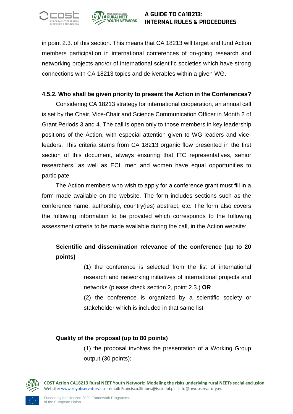



in point 2.3. of this section. This means that CA 18213 will target and fund Action members participation in international conferences of on-going research and networking projects and/or of international scientific societies which have strong connections with CA 18213 topics and deliverables within a given WG.

#### **4.5.2. Who shall be given priority to present the Action in the Conferences?**

Considering CA 18213 strategy for international cooperation, an annual call is set by the Chair, Vice-Chair and Science Communication Officer in Month 2 of Grant Periods 3 and 4. The call is open only to those members in key leadership positions of the Action, with especial attention given to WG leaders and viceleaders. This criteria stems from CA 18213 organic flow presented in the first section of this document, always ensuring that ITC representatives, senior researchers, as well as ECI, men and women have equal opportunities to participate.

The Action members who wish to apply for a conference grant must fill in a form made available on the website. The form includes sections such as the conference name, authorship, country(ies) abstract, etc. The form also covers the following information to be provided which corresponds to the following assessment criteria to be made available during the call, in the Action website:

## **Scientific and dissemination relevance of the conference (up to 20 points)**

(1) the conference is selected from the list of international research and networking initiatives of international projects and networks (please check section 2, point 2.3.) **OR**

(2) the conference is organized by a scientific society or stakeholder which is included in that same list

#### **Quality of the proposal (up to 80 points)**

(1) the proposal involves the presentation of a Working Group output (30 points);

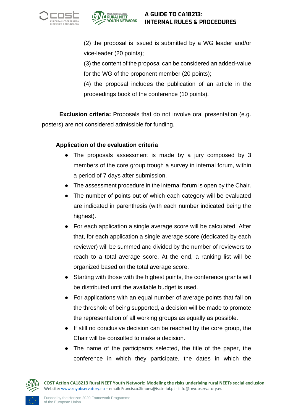



(2) the proposal is issued is submitted by a WG leader and/or vice-leader (20 points);

(3) the content of the proposal can be considered an added-value for the WG of the proponent member (20 points);

(4) the proposal includes the publication of an article in the proceedings book of the conference (10 points).

**Exclusion criteria:** Proposals that do not involve oral presentation (e.g. posters) are not considered admissible for funding.

#### **Application of the evaluation criteria**

- The proposals assessment is made by a jury composed by 3 members of the core group trough a survey in internal forum, within a period of 7 days after submission.
- The assessment procedure in the internal forum is open by the Chair.
- The number of points out of which each category will be evaluated are indicated in parenthesis (with each number indicated being the highest).
- For each application a single average score will be calculated. After that, for each application a single average score (dedicated by each reviewer) will be summed and divided by the number of reviewers to reach to a total average score. At the end, a ranking list will be organized based on the total average score.
- Starting with those with the highest points, the conference grants will be distributed until the available budget is used.
- For applications with an equal number of average points that fall on the threshold of being supported, a decision will be made to promote the representation of all working groups as equally as possible.
- If still no conclusive decision can be reached by the core group, the Chair will be consulted to make a decision.
- The name of the participants selected, the title of the paper, the conference in which they participate, the dates in which the

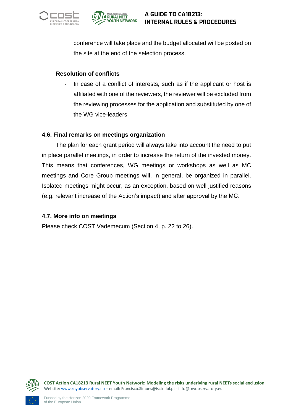



conference will take place and the budget allocated will be posted on the site at the end of the selection process.

#### **Resolution of conflicts**

In case of a conflict of interests, such as if the applicant or host is affiliated with one of the reviewers, the reviewer will be excluded from the reviewing processes for the application and substituted by one of the WG vice-leaders.

#### <span id="page-26-0"></span>**4.6. Final remarks on meetings organization**

The plan for each grant period will always take into account the need to put in place parallel meetings, in order to increase the return of the invested money. This means that conferences, WG meetings or workshops as well as MC meetings and Core Group meetings will, in general, be organized in parallel. Isolated meetings might occur, as an exception, based on well justified reasons (e.g. relevant increase of the Action's impact) and after approval by the MC.

#### <span id="page-26-1"></span>**4.7. More info on meetings**

Please check COST Vademecum (Section 4, p. 22 to 26).

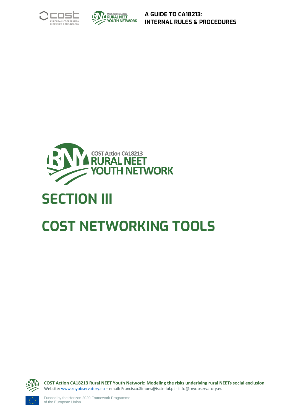





# <span id="page-27-0"></span>**SECTION III**

## **COST NETWORKING TOOLS**

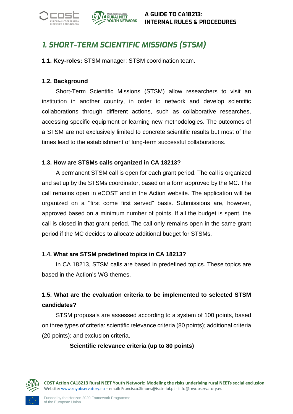



## <span id="page-28-0"></span>*1. SHORT-TERM SCIENTIFIC MISSIONS (STSM)*

<span id="page-28-1"></span>**1.1. Key-roles:** STSM manager; STSM coordination team.

#### <span id="page-28-2"></span>**1.2. Background**

Short-Term Scientific Missions (STSM) allow researchers to visit an institution in another country, in order to network and develop scientific collaborations through different actions, such as collaborative researches, accessing specific equipment or learning new methodologies. The outcomes of a STSM are not exclusively limited to concrete scientific results but most of the times lead to the establishment of long-term successful collaborations.

#### <span id="page-28-3"></span>**1.3. How are STSMs calls organized in CA 18213?**

A permanent STSM call is open for each grant period. The call is organized and set up by the STSMs coordinator, based on a form approved by the MC. The call remains open in eCOST and in the Action website. The application will be organized on a ''first come first served'' basis. Submissions are, however, approved based on a minimum number of points. If all the budget is spent, the call is closed in that grant period. The call only remains open in the same grant period if the MC decides to allocate additional budget for STSMs.

#### <span id="page-28-4"></span>**1.4. What are STSM predefined topics in CA 18213?**

In CA 18213, STSM calls are based in predefined topics. These topics are based in the Action's WG themes.

## **1.5. What are the evaluation criteria to be implemented to selected STSM candidates?**

STSM proposals are assessed according to a system of 100 points, based on three types of criteria: scientific relevance criteria (80 points); additional criteria (20 points); and exclusion criteria.

#### **Scientific relevance criteria (up to 80 points)**

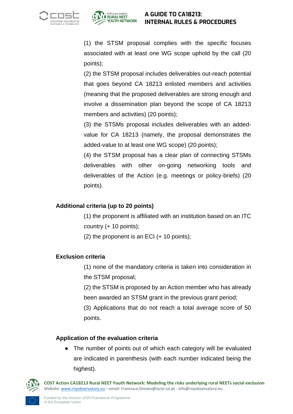



(1) the STSM proposal complies with the specific focuses associated with at least one WG scope uphold by the call (20 points);

(2) the STSM proposal includes deliverables out-reach potential that goes beyond CA 18213 enlisted members and activities (meaning that the proposed deliverables are strong enough and involve a dissemination plan beyond the scope of CA 18213 members and activities) (20 points);

(3) the STSMs proposal includes deliverables with an addedvalue for CA 18213 (namely, the proposal demonstrates the added-value to at least one WG scope) (20 points);

(4) the STSM proposal has a clear plan of connecting STSMs deliverables with other on-going networking tools and deliverables of the Action (e.g. meetings or policy-briefs) (20 points).

#### **Additional criteria (up to 20 points)**

(1) the proponent is affiliated with an institution based on an ITC country (+ 10 points);

 $(2)$  the proponent is an ECI  $(+ 10$  points);

#### **Exclusion criteria**

(1) none of the mandatory criteria is taken into consideration in the STSM proposal;

(2) the STSM is proposed by an Action member who has already been awarded an STSM grant in the previous grant period;

(3) Applications that do not reach a total average score of 50 points.

#### **Application of the evaluation criteria**

• The number of points out of which each category will be evaluated are indicated in parenthesis (with each number indicated being the highest).

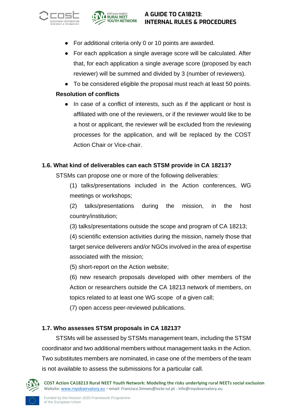



- For additional criteria only 0 or 10 points are awarded.
- For each application a single average score will be calculated. After that, for each application a single average score (proposed by each reviewer) will be summed and divided by 3 (number of reviewers).
- To be considered eligible the proposal must reach at least 50 points.

#### **Resolution of conflicts**

• In case of a conflict of interests, such as if the applicant or host is affiliated with one of the reviewers, or if the reviewer would like to be a host or applicant, the reviewer will be excluded from the reviewing processes for the application, and will be replaced by the COST Action Chair or Vice-chair.

#### <span id="page-30-0"></span>**1.6. What kind of deliverables can each STSM provide in CA 18213?**

STSMs can propose one or more of the following deliverables:

(1) talks/presentations included in the Action conferences, WG meetings or workshops;

(2) talks/presentations during the mission, in the host country/institution;

(3) talks/presentations outside the scope and program of CA 18213;

(4) scientific extension activities during the mission, namely those that target service deliverers and/or NGOs involved in the area of expertise associated with the mission;

(5) short-report on the Action website;

(6) new research proposals developed with other members of the Action or researchers outside the CA 18213 network of members, on topics related to at least one WG scope of a given call;

(7) open access peer-reviewed publications.

#### <span id="page-30-1"></span>**1.7. Who assesses STSM proposals in CA 18213?**

STSMs will be assessed by STSMs management team, including the STSM coordinator and two additional members without management tasks in the Action. Two substitutes members are nominated, in case one of the members of the team is not available to assess the submissions for a particular call.

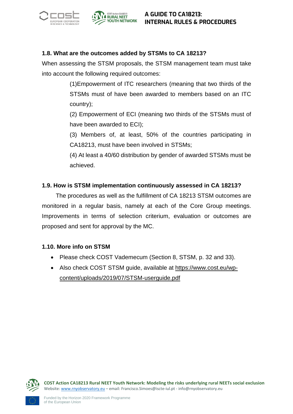



#### <span id="page-31-0"></span>**1.8. What are the outcomes added by STSMs to CA 18213?**

When assessing the STSM proposals, the STSM management team must take into account the following required outcomes:

> (1)Empowerment of ITC researchers (meaning that two thirds of the STSMs must of have been awarded to members based on an ITC country);

> (2) Empowerment of ECI (meaning two thirds of the STSMs must of have been awarded to ECI);

> (3) Members of, at least, 50% of the countries participating in CA18213, must have been involved in STSMs;

> (4) At least a 40/60 distribution by gender of awarded STSMs must be achieved.

#### <span id="page-31-1"></span>**1.9. How is STSM implementation continuously assessed in CA 18213?**

The procedures as well as the fulfillment of CA 18213 STSM outcomes are monitored in a regular basis, namely at each of the Core Group meetings. Improvements in terms of selection criterium, evaluation or outcomes are proposed and sent for approval by the MC.

#### <span id="page-31-2"></span>**1.10. More info on STSM**

- Please check COST Vademecum (Section 8, STSM, p. 32 and 33).
- Also check COST STSM guide, available at [https://www.cost.eu/wp](https://www.cost.eu/wp-content/uploads/2019/07/STSM-userguide.pdf)[content/uploads/2019/07/STSM-userguide.pdf](https://www.cost.eu/wp-content/uploads/2019/07/STSM-userguide.pdf)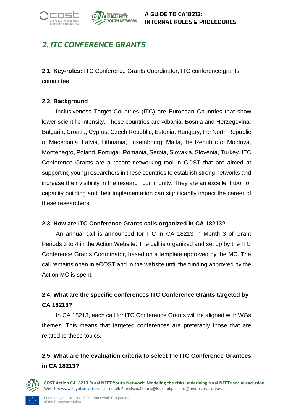



## <span id="page-32-0"></span>*2. ITC CONFERENCE GRANTS*

<span id="page-32-1"></span>**2.1. Key-roles:** ITC Conference Grants Coordinator; ITC conference grants committee.

#### <span id="page-32-2"></span>**2.2. Background**

Inclusiveness Target Countries (ITC) are European Countries that show lower scientific intensity. These countries are Albania, Bosnia and Herzegovina, Bulgaria, Croatia, Cyprus, Czech Republic, Estonia, Hungary, the North Republic of Macedonia, Latvia, Lithuania, Luxembourg, Malta, the Republic of Moldova, Montenegro, Poland, Portugal, Romania, Serbia, Slovakia, Slovenia, Turkey. ITC Conference Grants are a recent networking tool in COST that are aimed at supporting young researchers in these countries to establish strong networks and increase their visibility in the research community. They are an excellent tool for capacity building and their implementation can significantly impact the career of these researchers.

#### <span id="page-32-3"></span>**2.3. How are ITC Conference Grants calls organized in CA 18213?**

An annual call is announced for ITC in CA 18213 in Month 3 of Grant Periods 3 to 4 in the Action Website. The call is organized and set up by the ITC Conference Grants Coordinator, based on a template approved by the MC. The call remains open in eCOST and in the website until the funding approved by the Action MC is spent.

## <span id="page-32-4"></span>**2.4. What are the specific conferences ITC Conference Grants targeted by CA 18213?**

In CA 18213, each call for ITC Conference Grants will be aligned with WGs themes. This means that targeted conferences are preferably those that are related to these topics.

## <span id="page-32-5"></span>**2.5. What are the evaluation criteria to select the ITC Conference Grantees in CA 18213?**

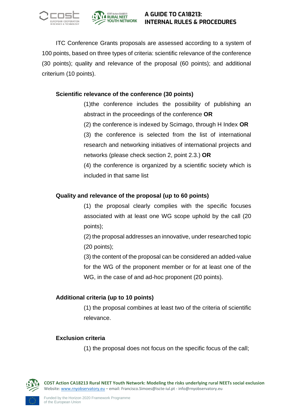



ITC Conference Grants proposals are assessed according to a system of 100 points, based on three types of criteria: scientific relevance of the conference (30 points); quality and relevance of the proposal (60 points); and additional criterium (10 points).

#### **Scientific relevance of the conference (30 points)**

(1)the conference includes the possibility of publishing an abstract in the proceedings of the conference **OR**

(2) the conference is indexed by Scimago, through H Index **OR**

(3) the conference is selected from the list of international research and networking initiatives of international projects and networks (please check section 2, point 2.3.) **OR**

(4) the conference is organized by a scientific society which is included in that same list

#### **Quality and relevance of the proposal (up to 60 points)**

(1) the proposal clearly complies with the specific focuses associated with at least one WG scope uphold by the call (20 points);

(2) the proposal addresses an innovative, under researched topic (20 points);

(3) the content of the proposal can be considered an added-value for the WG of the proponent member or for at least one of the WG, in the case of and ad-hoc proponent (20 points).

#### **Additional criteria (up to 10 points)**

(1) the proposal combines at least two of the criteria of scientific relevance.

#### **Exclusion criteria**

(1) the proposal does not focus on the specific focus of the call;

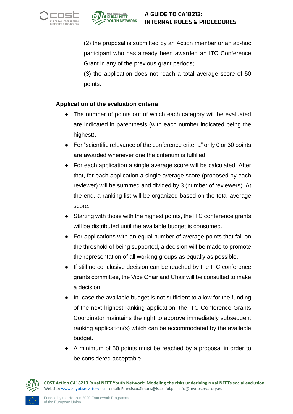



(2) the proposal is submitted by an Action member or an ad-hoc participant who has already been awarded an ITC Conference Grant in any of the previous grant periods;

(3) the application does not reach a total average score of 50 points.

#### **Application of the evaluation criteria**

- The number of points out of which each category will be evaluated are indicated in parenthesis (with each number indicated being the highest).
- For "scientific relevance of the conference criteria" only 0 or 30 points are awarded whenever one the criterium is fulfilled.
- For each application a single average score will be calculated. After that, for each application a single average score (proposed by each reviewer) will be summed and divided by 3 (number of reviewers). At the end, a ranking list will be organized based on the total average score.
- Starting with those with the highest points, the ITC conference grants will be distributed until the available budget is consumed.
- For applications with an equal number of average points that fall on the threshold of being supported, a decision will be made to promote the representation of all working groups as equally as possible.
- If still no conclusive decision can be reached by the ITC conference grants committee, the Vice Chair and Chair will be consulted to make a decision.
- In case the available budget is not sufficient to allow for the funding of the next highest ranking application, the ITC Conference Grants Coordinator maintains the right to approve immediately subsequent ranking application(s) which can be accommodated by the available budget.
- A minimum of 50 points must be reached by a proposal in order to be considered acceptable.

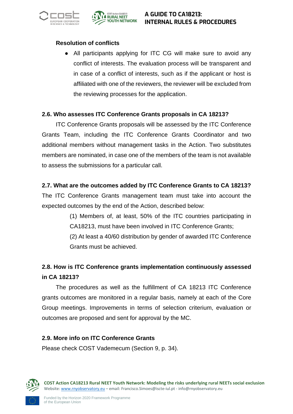



#### **Resolution of conflicts**

● All participants applying for ITC CG will make sure to avoid any conflict of interests. The evaluation process will be transparent and in case of a conflict of interests, such as if the applicant or host is affiliated with one of the reviewers, the reviewer will be excluded from the reviewing processes for the application.

#### <span id="page-35-0"></span>**2.6. Who assesses ITC Conference Grants proposals in CA 18213?**

ITC Conference Grants proposals will be assessed by the ITC Conference Grants Team, including the ITC Conference Grants Coordinator and two additional members without management tasks in the Action. Two substitutes members are nominated, in case one of the members of the team is not available to assess the submissions for a particular call.

#### <span id="page-35-1"></span>**2.7. What are the outcomes added by ITC Conference Grants to CA 18213?**

The ITC Conference Grants management team must take into account the expected outcomes by the end of the Action, described below:

> (1) Members of, at least, 50% of the ITC countries participating in CA18213, must have been involved in ITC Conference Grants;

> (2) At least a 40/60 distribution by gender of awarded ITC Conference Grants must be achieved.

### <span id="page-35-2"></span>**2.8. How is ITC Conference grants implementation continuously assessed in CA 18213?**

The procedures as well as the fulfillment of CA 18213 ITC Conference grants outcomes are monitored in a regular basis, namely at each of the Core Group meetings. Improvements in terms of selection criterium, evaluation or outcomes are proposed and sent for approval by the MC.

#### <span id="page-35-3"></span>**2.9. More info on ITC Conference Grants**

Please check COST Vademecum (Section 9, p. 34).

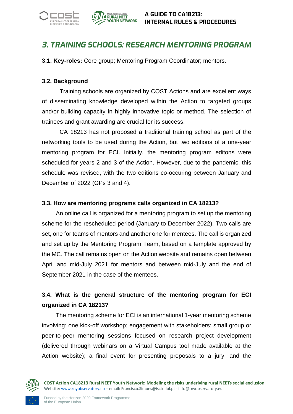



## <span id="page-36-0"></span>*3. TRAINING SCHOOLS: RESEARCH MENTORING PROGRAM*

<span id="page-36-1"></span>**3.1. Key-roles:** Core group; Mentoring Program Coordinator; mentors.

#### <span id="page-36-2"></span>**3.2. Background**

Training schools are organized by COST Actions and are excellent ways of disseminating knowledge developed within the Action to targeted groups and/or building capacity in highly innovative topic or method. The selection of trainees and grant awarding are crucial for its success.

CA 18213 has not proposed a traditional training school as part of the networking tools to be used during the Action, but two editions of a one-year mentoring program for ECI. Initially, the mentoring program editons were scheduled for years 2 and 3 of the Action. However, due to the pandemic, this schedule was revised, with the two editions co-occuring between January and December of 2022 (GPs 3 and 4).

#### <span id="page-36-3"></span>**3.3. How are mentoring programs calls organized in CA 18213?**

An online call is organized for a mentoring program to set up the mentoring scheme for the rescheduled period (January to December 2022). Two calls are set, one for teams of mentors and another one for mentees. The call is organized and set up by the Mentoring Program Team, based on a template approved by the MC. The call remains open on the Action website and remains open between April and mid-July 2021 for mentors and between mid-July and the end of September 2021 in the case of the mentees.

## <span id="page-36-4"></span>**3.4. What is the general structure of the mentoring program for ECI organized in CA 18213?**

The mentoring scheme for ECI is an international 1-year mentoring scheme involving: one kick-off workshop; engagement with stakeholders; small group or peer-to-peer mentoring sessions focused on research project development (delivered through webinars on a Virtual Campus tool made available at the Action website); a final event for presenting proposals to a jury; and the

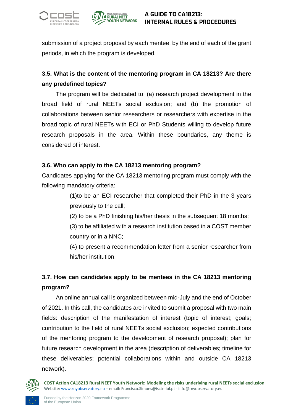



submission of a project proposal by each mentee, by the end of each of the grant periods, in which the program is developed.

## <span id="page-37-0"></span>**3.5. What is the content of the mentoring program in CA 18213? Are there any predefined topics?**

The program will be dedicated to: (a) research project development in the broad field of rural NEETs social exclusion; and (b) the promotion of collaborations between senior researchers or researchers with expertise in the broad topic of rural NEETs with ECI or PhD Students willing to develop future research proposals in the area. Within these boundaries, any theme is considered of interest.

#### <span id="page-37-1"></span>**3.6. Who can apply to the CA 18213 mentoring program?**

Candidates applying for the CA 18213 mentoring program must comply with the following mandatory criteria:

> (1)to be an ECI researcher that completed their PhD in the 3 years previously to the call;

(2) to be a PhD finishing his/her thesis in the subsequent 18 months;

(3) to be affiliated with a research institution based in a COST member country or in a NNC;

(4) to present a recommendation letter from a senior researcher from his/her institution.

## <span id="page-37-2"></span>**3.7. How can candidates apply to be mentees in the CA 18213 mentoring program?**

An online annual call is organized between mid-July and the end of October of 2021. In this call, the candidates are invited to submit a proposal with two main fields: description of the manifestation of interest (topic of interest; goals; contribution to the field of rural NEETs social exclusion; expected contributions of the mentoring program to the development of research proposal); plan for future research development in the area (description of deliverables; timeline for these deliverables; potential collaborations within and outside CA 18213 network).

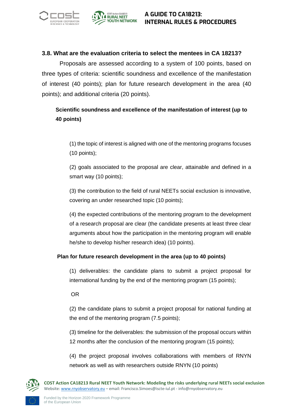



#### <span id="page-38-0"></span>**3.8. What are the evaluation criteria to select the mentees in CA 18213?**

Proposals are assessed according to a system of 100 points, based on three types of criteria: scientific soundness and excellence of the manifestation of interest (40 points); plan for future research development in the area (40 points); and additional criteria (20 points).

#### **Scientific soundness and excellence of the manifestation of interest (up to 40 points)**

(1) the topic of interest is aligned with one of the mentoring programs focuses (10 points);

(2) goals associated to the proposal are clear, attainable and defined in a smart way (10 points);

(3) the contribution to the field of rural NEETs social exclusion is innovative, covering an under researched topic (10 points);

(4) the expected contributions of the mentoring program to the development of a research proposal are clear (the candidate presents at least three clear arguments about how the participation in the mentoring program will enable he/she to develop his/her research idea) (10 points).

#### **Plan for future research development in the area (up to 40 points)**

(1) deliverables: the candidate plans to submit a project proposal for international funding by the end of the mentoring program (15 points);

OR

(2) the candidate plans to submit a project proposal for national funding at the end of the mentoring program (7.5 points);

(3) timeline for the deliverables: the submission of the proposal occurs within 12 months after the conclusion of the mentoring program (15 points);

(4) the project proposal involves collaborations with members of RNYN network as well as with researchers outside RNYN (10 points)

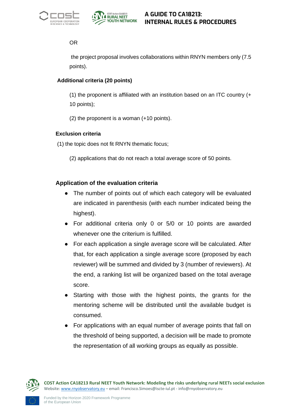



#### OR

the project proposal involves collaborations within RNYN members only (7.5 points).

#### **Additional criteria (20 points)**

(1) the proponent is affiliated with an institution based on an ITC country (+ 10 points);

(2) the proponent is a woman (+10 points).

#### **Exclusion criteria**

(1) the topic does not fit RNYN thematic focus;

(2) applications that do not reach a total average score of 50 points.

#### **Application of the evaluation criteria**

- The number of points out of which each category will be evaluated are indicated in parenthesis (with each number indicated being the highest).
- For additional criteria only 0 or 5/0 or 10 points are awarded whenever one the criterium is fulfilled.
- For each application a single average score will be calculated. After that, for each application a single average score (proposed by each reviewer) will be summed and divided by 3 (number of reviewers). At the end, a ranking list will be organized based on the total average score.
- Starting with those with the highest points, the grants for the mentoring scheme will be distributed until the available budget is consumed.
- For applications with an equal number of average points that fall on the threshold of being supported, a decision will be made to promote the representation of all working groups as equally as possible.

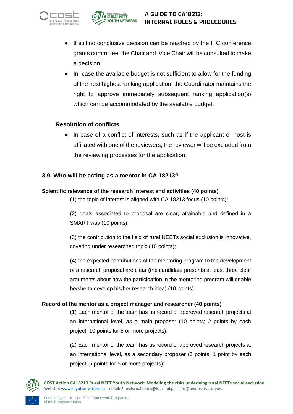



- If still no conclusive decision can be reached by the ITC conference grants committee, the Chair and Vice Chair will be consulted to make a decision.
- In case the available budget is not sufficient to allow for the funding of the next highest ranking application, the Coordinator maintains the right to approve immediately subsequent ranking application(s) which can be accommodated by the available budget.

#### **Resolution of conflicts**

● In case of a conflict of interests, such as if the applicant or host is affiliated with one of the reviewers, the reviewer will be excluded from the reviewing processes for the application.

#### <span id="page-40-0"></span>**3.9. Who will be acting as a mentor in CA 18213?**

#### **Scientific relevance of the research interest and activities (40 points)**

(1) the topic of interest is aligned with CA 18213 focus (10 points);

(2) goals associated to proposal are clear, attainable and defined in a SMART way (10 points);

(3) the contribution to the field of rural NEETs social exclusion is innovative, covering under researched topic (10 points);

(4) the expected contributions of the mentoring program to the development of a research proposal are clear (the candidate presents at least three clear arguments about how the participation in the mentoring program will enable he/she to develop his/her research idea) (10 points).

#### **Record of the mentor as a project manager and researcher (40 points)**

(1) Each mentor of the team has as record of approved research projects at an international level, as a main proposer (10 points; 2 points by each project, 10 points for 5 or more projects);

(2) Each mentor of the team has as record of approved research projects at an international level, as a secondary proposer (5 points, 1 point by each project, 5 points for 5 or more projects);

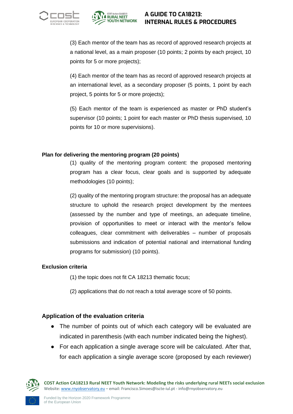



(3) Each mentor of the team has as record of approved research projects at a national level, as a main proposer (10 points; 2 points by each project, 10 points for 5 or more projects);

(4) Each mentor of the team has as record of approved research projects at an international level, as a secondary proposer (5 points, 1 point by each project, 5 points for 5 or more projects);

(5) Each mentor of the team is experienced as master or PhD student's supervisor (10 points; 1 point for each master or PhD thesis supervised, 10 points for 10 or more supervisions).

#### **Plan for delivering the mentoring program (20 points)**

(1) quality of the mentoring program content: the proposed mentoring program has a clear focus, clear goals and is supported by adequate methodologies (10 points);

(2) quality of the mentoring program structure: the proposal has an adequate structure to uphold the research project development by the mentees (assessed by the number and type of meetings, an adequate timeline, provision of opportunities to meet or interact with the mentor's fellow colleagues, clear commitment with deliverables – number of proposals submissions and indication of potential national and international funding programs for submission) (10 points).

#### **Exclusion criteria**

(1) the topic does not fit CA 18213 thematic focus;

(2) applications that do not reach a total average score of 50 points.

#### **Application of the evaluation criteria**

- The number of points out of which each category will be evaluated are indicated in parenthesis (with each number indicated being the highest).
- For each application a single average score will be calculated. After that, for each application a single average score (proposed by each reviewer)

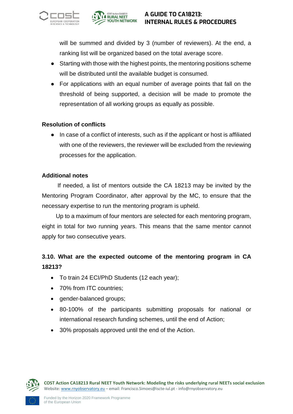



will be summed and divided by 3 (number of reviewers). At the end, a ranking list will be organized based on the total average score.

- Starting with those with the highest points, the mentoring positions scheme will be distributed until the available budget is consumed.
- For applications with an equal number of average points that fall on the threshold of being supported, a decision will be made to promote the representation of all working groups as equally as possible.

#### **Resolution of conflicts**

● In case of a conflict of interests, such as if the applicant or host is affiliated with one of the reviewers, the reviewer will be excluded from the reviewing processes for the application.

#### **Additional notes**

If needed, a list of mentors outside the CA 18213 may be invited by the Mentoring Program Coordinator, after approval by the MC, to ensure that the necessary expertise to run the mentoring program is upheld.

Up to a maximum of four mentors are selected for each mentoring program, eight in total for two running years. This means that the same mentor cannot apply for two consecutive years.

## <span id="page-42-0"></span>**3.10. What are the expected outcome of the mentoring program in CA 18213?**

- To train 24 ECI/PhD Students (12 each year);
- 70% from ITC countries:
- gender-balanced groups;
- 80-100% of the participants submitting proposals for national or international research funding schemes, until the end of Action;
- 30% proposals approved until the end of the Action.

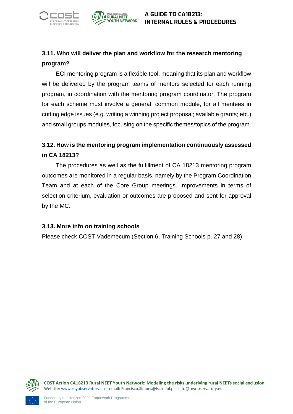



## <span id="page-43-0"></span>**3.11. Who will deliver the plan and workflow for the research mentoring program?**

ECI mentoring program is a flexible tool, meaning that its plan and workflow will be delivered by the program teams of mentors selected for each running program, in coordination with the mentoring program coordinator. The program for each scheme must involve a general, common module, for all mentees in cutting edge issues (e.g. writing a winning project proposal; available grants; etc.) and small groups modules, focusing on the specific themes/topics of the program.

## <span id="page-43-1"></span>**3.12. How is the mentoring program implementation continuously assessed in CA 18213?**

The procedures as well as the fulfillment of CA 18213 mentoring program outcomes are monitored in a regular basis, namely by the Program Coordination Team and at each of the Core Group meetings. Improvements in terms of selection criterium, evaluation or outcomes are proposed and sent for approval by the MC.

#### <span id="page-43-2"></span>**3.13. More info on training schools**

Please check COST Vademecum (Section 6, Training Schools p. 27 and 28).

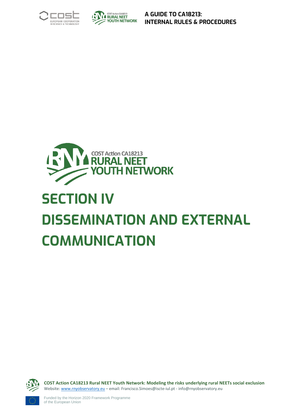





# <span id="page-44-0"></span>**SECTION IV DISSEMINATION AND EXTERNAL COMMUNICATION**

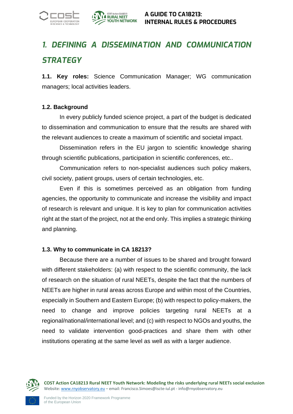

## <span id="page-45-0"></span>*1. DEFINING A DISSEMINATION AND COMMUNICATION STRATEGY*

<span id="page-45-1"></span>**1.1. Key roles:** Science Communication Manager; WG communication managers; local activities leaders.

#### <span id="page-45-2"></span>**1.2. Background**

In every publicly funded science project, a part of the budget is dedicated to dissemination and communication to ensure that the results are shared with the relevant audiences to create a maximum of scientific and societal impact.

Dissemination refers in the EU jargon to scientific knowledge sharing through scientific publications, participation in scientific conferences, etc..

Communication refers to non-specialist audiences such policy makers, civil society, patient groups, users of certain technologies, etc.

Even if this is sometimes perceived as an obligation from funding agencies, the opportunity to communicate and increase the visibility and impact of research is relevant and unique. It is key to plan for communication activities right at the start of the project, not at the end only. This implies a strategic thinking and planning.

#### <span id="page-45-3"></span>**1.3. Why to communicate in CA 18213?**

Because there are a number of issues to be shared and brought forward with different stakeholders: (a) with respect to the scientific community, the lack of research on the situation of rural NEETs, despite the fact that the numbers of NEETs are higher in rural areas across Europe and within most of the Countries, especially in Southern and Eastern Europe; (b) with respect to policy-makers, the need to change and improve policies targeting rural NEETs at a regional/national/international level; and (c) with respect to NGOs and youths, the need to validate intervention good-practices and share them with other institutions operating at the same level as well as with a larger audience.

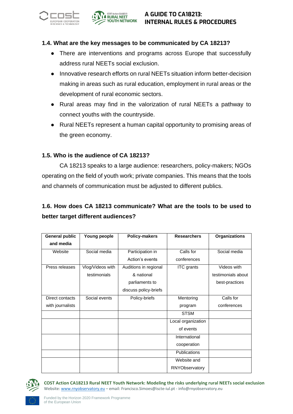



#### <span id="page-46-0"></span>**1.4. What are the key messages to be communicated by CA 18213?**

- There are interventions and programs across Europe that successfully address rural NEETs social exclusion.
- Innovative research efforts on rural NEETs situation inform better-decision making in areas such as rural education, employment in rural areas or the development of rural economic sectors.
- Rural areas may find in the valorization of rural NEETs a pathway to connect youths with the countryside.
- Rural NEETs represent a human capital opportunity to promising areas of the green economy.

#### <span id="page-46-1"></span>**1.5. Who is the audience of CA 18213?**

CA 18213 speaks to a large audience: researchers, policy-makers; NGOs operating on the field of youth work; private companies. This means that the tools and channels of communication must be adjusted to different publics.

## <span id="page-46-2"></span>**1.6. How does CA 18213 communicate? What are the tools to be used to better target different audiences?**

| General public   | Young people     | <b>Policy-makers</b>  | <b>Researchers</b>  | <b>Organizations</b> |
|------------------|------------------|-----------------------|---------------------|----------------------|
| and media        |                  |                       |                     |                      |
| Website          | Social media     | Participation in      | Calls for           | Social media         |
|                  |                  | Action's events       | conferences         |                      |
| Press releases   | Vlog/Videos with | Auditions in regional | ITC grants          | Videos with          |
|                  | testimonials     | & national            |                     | testimonials about   |
|                  |                  | parliaments to        |                     | best-practices       |
|                  |                  | discuss policy-briefs |                     |                      |
| Direct contacts  | Social events    | Policy-briefs         | Mentoring           | Calls for            |
| with journalists |                  |                       | program             | conferences          |
|                  |                  |                       | <b>STSM</b>         |                      |
|                  |                  |                       | Local organization  |                      |
|                  |                  |                       | of events           |                      |
|                  |                  |                       | International       |                      |
|                  |                  |                       | cooperation         |                      |
|                  |                  |                       | <b>Publications</b> |                      |
|                  |                  |                       | Website and         |                      |
|                  |                  |                       | RNYObservatory      |                      |

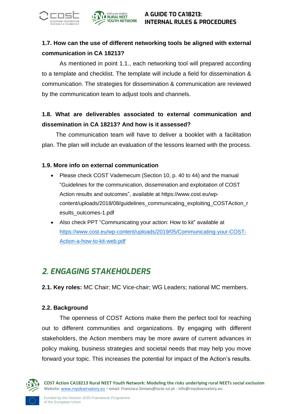



## <span id="page-47-0"></span>**1.7. How can the use of different networking tools be aligned with external communication in CA 18213?**

As mentioned in point 1.1., each networking tool will prepared according to a template and checklist. The template will include a field for dissemination & communication. The strategies for dissemination & communication are reviewed by the communication team to adjust tools and channels.

## <span id="page-47-1"></span>**1.8. What are deliverables associated to external communication and dissemination in CA 18213? And how is it assessed?**

The communication team will have to deliver a booklet with a facilitation plan. The plan will include an evaluation of the lessons learned with the process.

#### <span id="page-47-2"></span>**1.9. More info on external communication**

- Please check COST Vademecum (Section 10, p. 40 to 44) and the manual "Guidelines for the communication, dissemination and exploitation of COST Action results and outcomes", available at [https://www.cost.eu/wp](https://www.cost.eu/wp-content/uploads/2018/08/guidelines_communicating_exploiting_COSTAction_results_outcomes-1.pdf)[content/uploads/2018/08/guidelines\\_communicating\\_exploiting\\_COSTAction\\_r](https://www.cost.eu/wp-content/uploads/2018/08/guidelines_communicating_exploiting_COSTAction_results_outcomes-1.pdf) [esults\\_outcomes-1.pdf](https://www.cost.eu/wp-content/uploads/2018/08/guidelines_communicating_exploiting_COSTAction_results_outcomes-1.pdf)
- Also check PPT "Communicating your action: How to kit" available at [https://www.cost.eu/wp-content/uploads/2019/05/Communicating-your-COST-](https://www.cost.eu/wp-content/uploads/2019/05/Communicating-your-COST-Action-a-how-to-kit-web.pdf)[Action-a-how-to-kit-web.pdf](https://www.cost.eu/wp-content/uploads/2019/05/Communicating-your-COST-Action-a-how-to-kit-web.pdf)

## <span id="page-47-3"></span>*2. ENGAGING STAKEHOLDERS*

<span id="page-47-4"></span>**2.1. Key roles:** MC Chair; MC Vice-chair; WG Leaders; national MC members.

#### <span id="page-47-5"></span>**2.2. Background**

The openness of COST Actions make them the perfect tool for reaching out to different communities and organizations. By engaging with different stakeholders, the Action members may be more aware of current advances in policy making, business strategies and societal needs that may help you move forward your topic. This increases the potential for impact of the Action's results.

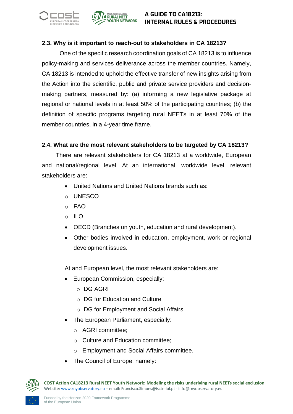



#### <span id="page-48-0"></span>**2.3. Why is it important to reach-out to stakeholders in CA 18213?**

One of the specific research coordination goals of CA 18213 is to influence policy-making and services deliverance across the member countries. Namely, CA 18213 is intended to uphold the effective transfer of new insights arising from the Action into the scientific, public and private service providers and decisionmaking partners, measured by: (a) informing a new legislative package at regional or national levels in at least 50% of the participating countries; (b) the definition of specific programs targeting rural NEETs in at least 70% of the member countries, in a 4-year time frame.

#### **2.4. What are the most relevant stakeholders to be targeted by CA 18213?**

There are relevant stakeholders for CA 18213 at a worldwide, European and national/regional level. At an international, worldwide level, relevant stakeholders are:

- United Nations and United Nations brands such as:
- o UNESCO
- o FAO
- o ILO
- OECD (Branches on youth, education and rural development).
- Other bodies involved in education, employment, work or regional development issues.

At and European level, the most relevant stakeholders are:

- European Commission, especially:
	- o DG AGRI
	- o DG for Education and Culture
	- o DG for Employment and Social Affairs
- The European Parliament, especially:
	- o AGRI committee;
	- o Culture and Education committee;
	- o Employment and Social Affairs committee.
- The Council of Europe, namely:

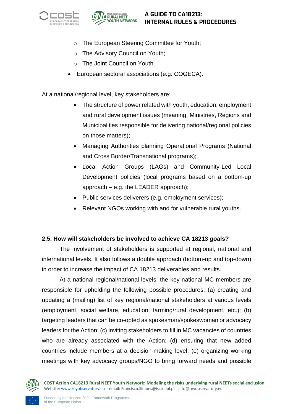



- o The European Steering Committee for Youth;
- o The Advisory Council on Youth;
- o The Joint Council on Youth.
- European sectoral associations (e.g. COGECA).

At a national/regional level, key stakeholders are:

- The structure of power related with youth, education, employment and rural development issues (meaning, Ministries, Regions and Municipalities responsible for delivering national/regional policies on those matters);
- Managing Authorities planning Operational Programs (National and Cross Border/Transnational programs);
- Local Action Groups (LAGs) and Community-Led Local Development policies (local programs based on a bottom-up approach – e.g. the LEADER approach);
- Public services deliverers (e.g. employment services);
- Relevant NGOs working with and for vulnerable rural youths.

#### <span id="page-49-0"></span>**2.5. How will stakeholders be involved to achieve CA 18213 goals?**

The involvement of stakeholders is supported at regional, national and international levels. It also follows a double approach (bottom-up and top-down) in order to increase the impact of CA 18213 deliverables and results.

At a national regional/national levels, the key national MC members are responsible for upholding the following possible procedures: (a) creating and updating a (mailing) list of key regional/national stakeholders at various levels (employment, social welfare, education, farming/rural development, etc.); (b) targeting leaders that can be co-opted as spokesman/spokeswoman or advocacy leaders for the Action; (c) inviting stakeholders to fill in MC vacancies of countries who are already associated with the Action; (d) ensuring that new added countries include members at a decision-making level; (e) organizing working meetings with key advocacy groups/NGO to bring forward needs and possible

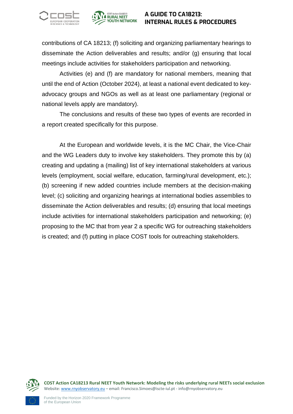



contributions of CA 18213; (f) soliciting and organizing parliamentary hearings to disseminate the Action deliverables and results; and/or (g) ensuring that local meetings include activities for stakeholders participation and networking.

Activities (e) and (f) are mandatory for national members, meaning that until the end of Action (October 2024), at least a national event dedicated to keyadvocacy groups and NGOs as well as at least one parliamentary (regional or national levels apply are mandatory).

The conclusions and results of these two types of events are recorded in a report created specifically for this purpose.

At the European and worldwide levels, it is the MC Chair, the Vice-Chair and the WG Leaders duty to involve key stakeholders. They promote this by (a) creating and updating a (mailing) list of key international stakeholders at various levels (employment, social welfare, education, farming/rural development, etc.); (b) screening if new added countries include members at the decision-making level; (c) soliciting and organizing hearings at international bodies assemblies to disseminate the Action deliverables and results; (d) ensuring that local meetings include activities for international stakeholders participation and networking; (e) proposing to the MC that from year 2 a specific WG for outreaching stakeholders is created; and (f) putting in place COST tools for outreaching stakeholders.